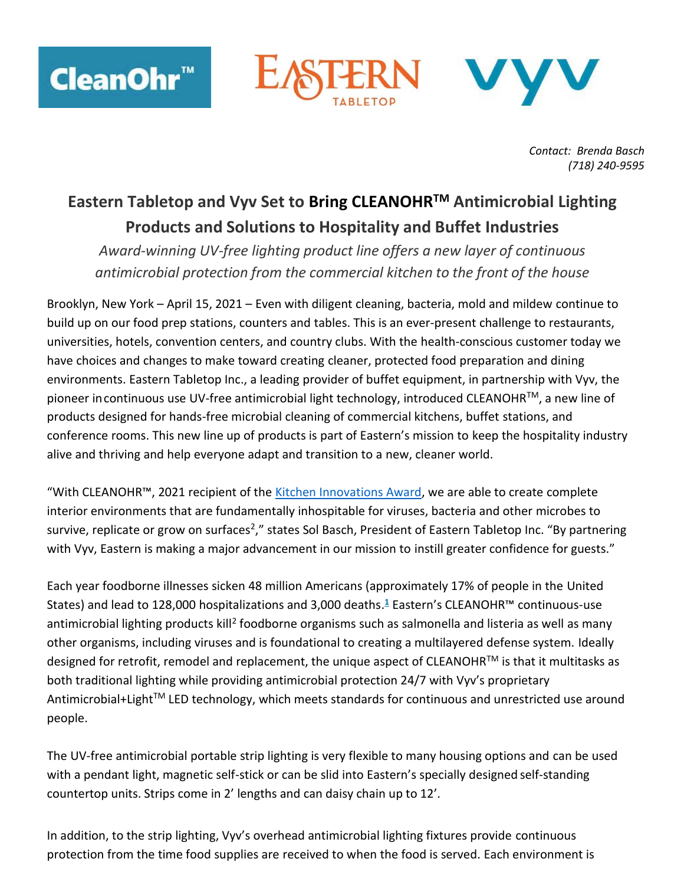



*Contact: Brenda Basch (718) 240-9595*

## **Eastern Tabletop and Vyv Set to Bring CLEANOHRTM Antimicrobial Lighting Products and Solutions to Hospitality and Buffet Industries**

*Award-winning UV-free lighting product line offers a new layer of continuous antimicrobial protection from the commercial kitchen to the front of the house*

Brooklyn, New York – April 15, 2021 – Even with diligent cleaning, bacteria, mold and mildew continue to build up on our food prep stations, counters and tables. This is an ever-present challenge to restaurants, universities, hotels, convention centers, and country clubs. With the health-conscious customer today we have choices and changes to make toward creating cleaner, protected food preparation and dining environments. Eastern Tabletop Inc., a leading provider of buffet equipment, in partnership with Vyv, the pioneer in continuous use UV-free antimicrobial light technology, introduced CLEANOHR™, a new line of products designed for hands-free microbial cleaning of commercial kitchens, buffet stations, and conference rooms. This new line up of products is part of Eastern's mission to keep the hospitality industry alive and thriving and help everyone adapt and transition to a new, cleaner world.

"With CLEANOHR™, 2021 recipient of the [Kitchen Innovations Award,](https://fesmag.com/topics/the-latest-news/19152-nra-show-names-2021-kitchen-innovations-award-recipients) we are able to create complete interior environments that are fundamentally inhospitable for viruses, bacteria and other microbes to survive, replicate or grow on surfaces<sup>2</sup>," states Sol Basch, President of Eastern Tabletop Inc. "By partnering with Vyv, Eastern is making a major advancement in our mission to instill greater confidence for guests."

Each year foodborne illnesses sicken 48 million Americans (approximately 17% of people in the United States) and lead to 128,000 hospitalizations and 3,000 death[s.](https://www.healthypeople.gov/2020/topics-objectives/topic/food-safety#1) **<sup>1</sup>** Eastern's CLEANOHR™ continuous-use antimicrobial lighting products kill<sup>2</sup> foodborne organisms such as salmonella and listeria as well as many other organisms, including viruses and is foundational to creating a multilayered defense system. Ideally designed for retrofit, remodel and replacement, the unique aspect of CLEANOHR<sup>™</sup> is that it multitasks as both traditional lighting while providing antimicrobial protection 24/7 with Vyv's proprietary Antimicrobial+Light<sup>™</sup> LED technology, which meets standards for continuous and unrestricted use around people.

The UV-free antimicrobial portable strip lighting is very flexible to many housing options and can be used with a pendant light, magnetic self-stick or can be slid into Eastern's specially designed self-standing countertop units. Strips come in 2' lengths and can daisy chain up to 12'.

In addition, to the strip lighting, Vyv's overhead antimicrobial lighting fixtures provide continuous protection from the time food supplies are received to when the food is served. Each environment is